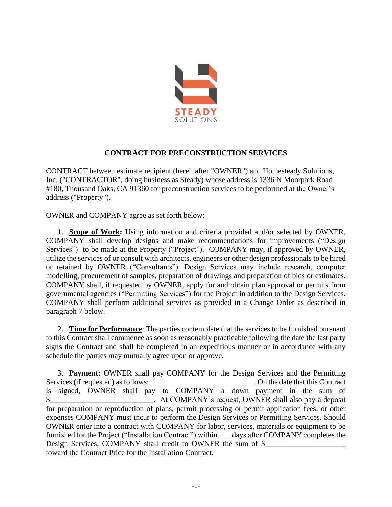

## **CONTRACT FOR PRECONSTRUCTION SERVICES**

CONTRACT between estimate recipient (hereinafter "OWNER") and Homesteady Solutions, Inc. ("CONTRACTOR", doing business as Steady) whose address is 1336 N Moorpark Road #180, Thousand Oaks, CA 91360 for preconstruction services to be performed at the Owner's address ("Property").

OWNER and COMPANY agree as set forth below:

1. **Scope of Work:** Using information and criteria provided and/or selected by OWNER, COMPANY shall develop designs and make recommendations for improvements ("Design Services") to be made at the Property ("Project"). COMPANY may, if approved by OWNER, utilize the services of or consult with architects, engineers or other design professionals to be hired or retained by OWNER ("Consultants"). Design Services may include research, computer modelling, procurement of samples, preparation of drawings and preparation of bids or estimates. COMPANY shall, if requested by OWNER, apply for and obtain plan approval or permits from governmental agencies ("Permitting Services") for the Project in addition to the Design Services. COMPANY shall perform additional services as provided in a Change Order as described in paragraph 7 below.

2. **Time for Performance**: The parties contemplate that the services to be furnished pursuant to this Contract shall commence as soon as reasonably practicable following the date the last party signs the Contract and shall be completed in an expeditious manner or in accordance with any schedule the parties may mutually agree upon or approve.

3. **Payment:** OWNER shall pay COMPANY for the Design Services and the Permitting vices (if requested) as follows: \_\_\_\_\_\_\_\_\_\_\_\_\_\_\_\_\_\_\_\_\_\_\_\_\_\_. On the date that this Contract Services (if requested) as follows: \_\_\_\_\_\_\_\_\_\_\_\_\_\_\_\_\_\_\_\_\_\_\_\_\_\_\_. On the date that this Contract is signed, OWNER shall pay to COMPANY a down payment in the sum of \$\_\_\_\_\_\_\_\_\_\_\_\_\_\_\_\_\_\_\_\_\_\_\_\_\_\_\_. At COMPANY's request, OWNER shall also pay a deposit for preparation or reproduction of plans, permit processing or permit application fees, or other expenses COMPANY must incur to perform the Design Services or Permitting Services. Should OWNER enter into a contract with COMPANY for labor, services, materials or equipment to be furnished for the Project ("Installation Contract") within days after COMPANY completes the Design Services, COMPANY shall credit to OWNER the sum of \$ toward the Contract Price for the Installation Contract.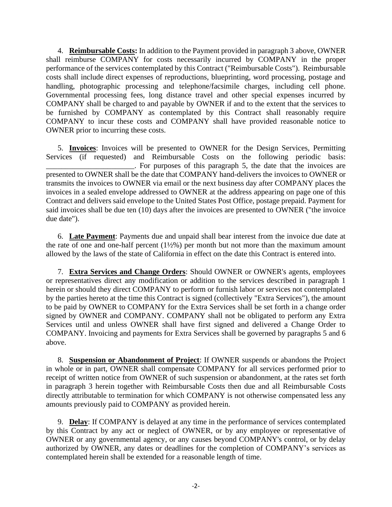4. **Reimbursable Costs:** In addition to the Payment provided in paragraph 3 above, OWNER shall reimburse COMPANY for costs necessarily incurred by COMPANY in the proper performance of the services contemplated by this Contract ("Reimbursable Costs"). Reimbursable costs shall include direct expenses of reproductions, blueprinting, word processing, postage and handling, photographic processing and telephone/facsimile charges, including cell phone. Governmental processing fees, long distance travel and other special expenses incurred by COMPANY shall be charged to and payable by OWNER if and to the extent that the services to be furnished by COMPANY as contemplated by this Contract shall reasonably require COMPANY to incur these costs and COMPANY shall have provided reasonable notice to OWNER prior to incurring these costs.

5. **Invoices**: Invoices will be presented to OWNER for the Design Services, Permitting Services (if requested) and Reimbursable Costs on the following periodic basis: . For purposes of this paragraph 5, the date that the invoices are presented to OWNER shall be the date that COMPANY hand-delivers the invoices to OWNER or transmits the invoices to OWNER via email or the next business day after COMPANY places the invoices in a sealed envelope addressed to OWNER at the address appearing on page one of this Contract and delivers said envelope to the United States Post Office, postage prepaid. Payment for said invoices shall be due ten (10) days after the invoices are presented to OWNER ("the invoice due date").

6. **Late Payment**: Payments due and unpaid shall bear interest from the invoice due date at the rate of one and one-half percent  $(1\frac{1}{2}\%)$  per month but not more than the maximum amount allowed by the laws of the state of California in effect on the date this Contract is entered into.

7. **Extra Services and Change Orders**: Should OWNER or OWNER's agents, employees or representatives direct any modification or addition to the services described in paragraph 1 herein or should they direct COMPANY to perform or furnish labor or services not contemplated by the parties hereto at the time this Contract is signed (collectively "Extra Services"), the amount to be paid by OWNER to COMPANY for the Extra Services shall be set forth in a change order signed by OWNER and COMPANY. COMPANY shall not be obligated to perform any Extra Services until and unless OWNER shall have first signed and delivered a Change Order to COMPANY. Invoicing and payments for Extra Services shall be governed by paragraphs 5 and 6 above.

8. **Suspension or Abandonment of Project**: If OWNER suspends or abandons the Project in whole or in part, OWNER shall compensate COMPANY for all services performed prior to receipt of written notice from OWNER of such suspension or abandonment, at the rates set forth in paragraph 3 herein together with Reimbursable Costs then due and all Reimbursable Costs directly attributable to termination for which COMPANY is not otherwise compensated less any amounts previously paid to COMPANY as provided herein.

9. **Delay**: If COMPANY is delayed at any time in the performance of services contemplated by this Contract by any act or neglect of OWNER, or by any employee or representative of OWNER or any governmental agency, or any causes beyond COMPANY's control, or by delay authorized by OWNER, any dates or deadlines for the completion of COMPANY's services as contemplated herein shall be extended for a reasonable length of time.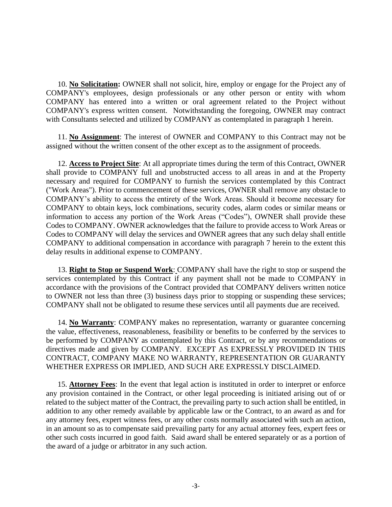10. **No Solicitation:** OWNER shall not solicit, hire, employ or engage for the Project any of COMPANY's employees, design professionals or any other person or entity with whom COMPANY has entered into a written or oral agreement related to the Project without COMPANY's express written consent. Notwithstanding the foregoing, OWNER may contract with Consultants selected and utilized by COMPANY as contemplated in paragraph 1 herein.

11. **No Assignment**: The interest of OWNER and COMPANY to this Contract may not be assigned without the written consent of the other except as to the assignment of proceeds.

12. **Access to Project Site**: At all appropriate times during the term of this Contract, OWNER shall provide to COMPANY full and unobstructed access to all areas in and at the Property necessary and required for COMPANY to furnish the services contemplated by this Contract ("Work Areas"). Prior to commencement of these services, OWNER shall remove any obstacle to COMPANY's ability to access the entirety of the Work Areas. Should it become necessary for COMPANY to obtain keys, lock combinations, security codes, alarm codes or similar means or information to access any portion of the Work Areas ("Codes"), OWNER shall provide these Codes to COMPANY. OWNER acknowledges that the failure to provide access to Work Areas or Codes to COMPANY will delay the services and OWNER agrees that any such delay shall entitle COMPANY to additional compensation in accordance with paragraph 7 herein to the extent this delay results in additional expense to COMPANY.

13. **Right to Stop or Suspend Work**: COMPANY shall have the right to stop or suspend the services contemplated by this Contract if any payment shall not be made to COMPANY in accordance with the provisions of the Contract provided that COMPANY delivers written notice to OWNER not less than three (3) business days prior to stopping or suspending these services; COMPANY shall not be obligated to resume these services until all payments due are received.

14. **No Warranty**: COMPANY makes no representation, warranty or guarantee concerning the value, effectiveness, reasonableness, feasibility or benefits to be conferred by the services to be performed by COMPANY as contemplated by this Contract, or by any recommendations or directives made and given by COMPANY. EXCEPT AS EXPRESSLY PROVIDED IN THIS CONTRACT, COMPANY MAKE NO WARRANTY, REPRESENTATION OR GUARANTY WHETHER EXPRESS OR IMPLIED, AND SUCH ARE EXPRESSLY DISCLAIMED.

15. **Attorney Fees**: In the event that legal action is instituted in order to interpret or enforce any provision contained in the Contract, or other legal proceeding is initiated arising out of or related to the subject matter of the Contract, the prevailing party to such action shall be entitled, in addition to any other remedy available by applicable law or the Contract, to an award as and for any attorney fees, expert witness fees, or any other costs normally associated with such an action, in an amount so as to compensate said prevailing party for any actual attorney fees, expert fees or other such costs incurred in good faith. Said award shall be entered separately or as a portion of the award of a judge or arbitrator in any such action.